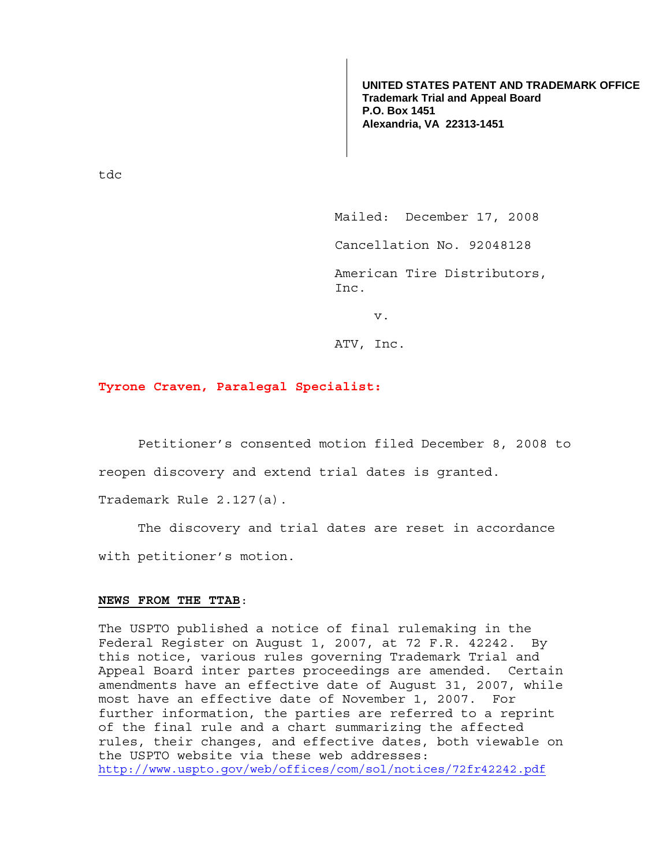**UNITED STATES PATENT AND TRADEMARK OFFICE Trademark Trial and Appeal Board P.O. Box 1451 Alexandria, VA 22313-1451**

tdc

Mailed: December 17, 2008

Cancellation No. 92048128

 American Tire Distributors, Inc.

v.

ATV, Inc.

## **Tyrone Craven, Paralegal Specialist:**

Petitioner's consented motion filed December 8, 2008 to

reopen discovery and extend trial dates is granted.

Trademark Rule 2.127(a).

 The discovery and trial dates are reset in accordance with petitioner's motion.

## **NEWS FROM THE TTAB**:

The USPTO published a notice of final rulemaking in the Federal Register on August 1, 2007, at 72 F.R. 42242. By this notice, various rules governing Trademark Trial and Appeal Board inter partes proceedings are amended. Certain amendments have an effective date of August 31, 2007, while most have an effective date of November 1, 2007. For further information, the parties are referred to a reprint of the final rule and a chart summarizing the affected rules, their changes, and effective dates, both viewable on the USPTO website via these web addresses: http://www.uspto.gov/web/offices/com/sol/notices/72fr42242.pdf